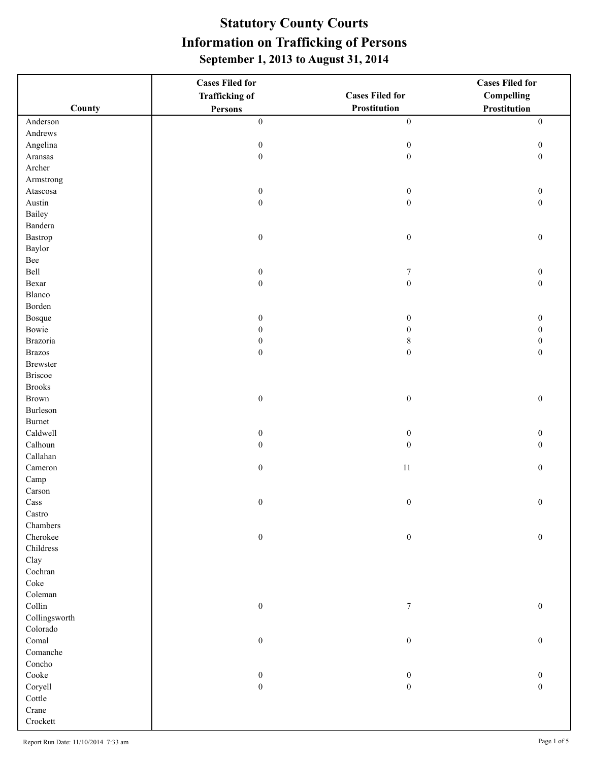|                   | <b>Cases Filed for</b>               |                                      | <b>Cases Filed for</b>               |
|-------------------|--------------------------------------|--------------------------------------|--------------------------------------|
|                   | <b>Trafficking of</b>                | <b>Cases Filed for</b>               | <b>Compelling</b>                    |
| County            | Persons                              | <b>Prostitution</b>                  | Prostitution                         |
| Anderson          | $\boldsymbol{0}$                     | $\boldsymbol{0}$                     | $\boldsymbol{0}$                     |
| Andrews           |                                      |                                      |                                      |
| Angelina          | $\boldsymbol{0}$                     | $\boldsymbol{0}$                     | $\boldsymbol{0}$                     |
| Aransas           | $\boldsymbol{0}$                     | $\boldsymbol{0}$                     | $\boldsymbol{0}$                     |
| Archer            |                                      |                                      |                                      |
| Armstrong         |                                      |                                      |                                      |
| Atascosa          | $\boldsymbol{0}$                     | $\boldsymbol{0}$                     | $\boldsymbol{0}$                     |
| Austin            | $\boldsymbol{0}$                     | $\boldsymbol{0}$                     | $\boldsymbol{0}$                     |
| Bailey            |                                      |                                      |                                      |
| Bandera           |                                      |                                      |                                      |
| Bastrop           | $\boldsymbol{0}$                     | $\boldsymbol{0}$                     | $\boldsymbol{0}$                     |
| Baylor            |                                      |                                      |                                      |
| Bee               |                                      |                                      |                                      |
| Bell              | $\boldsymbol{0}$                     | $\overline{7}$                       | $\boldsymbol{0}$                     |
| Bexar             | $\boldsymbol{0}$                     | $\boldsymbol{0}$                     | $\boldsymbol{0}$                     |
| Blanco            |                                      |                                      |                                      |
| Borden            |                                      |                                      |                                      |
| Bosque            | $\boldsymbol{0}$                     | $\boldsymbol{0}$                     | $\boldsymbol{0}$                     |
| Bowie             | $\boldsymbol{0}$                     | $\boldsymbol{0}$                     | $\boldsymbol{0}$                     |
| Brazoria          | $\boldsymbol{0}$                     | $\,$ $\,$                            | $\boldsymbol{0}$                     |
| <b>Brazos</b>     | $\boldsymbol{0}$                     | $\boldsymbol{0}$                     | $\boldsymbol{0}$                     |
| <b>Brewster</b>   |                                      |                                      |                                      |
| <b>Briscoe</b>    |                                      |                                      |                                      |
| <b>Brooks</b>     |                                      |                                      |                                      |
| Brown             | $\boldsymbol{0}$                     | $\boldsymbol{0}$                     | $\boldsymbol{0}$                     |
| Burleson          |                                      |                                      |                                      |
| Burnet            |                                      |                                      |                                      |
| Caldwell          | $\boldsymbol{0}$                     | $\boldsymbol{0}$                     | $\boldsymbol{0}$                     |
| Calhoun           | $\boldsymbol{0}$                     | $\boldsymbol{0}$                     | $\boldsymbol{0}$                     |
| Callahan          |                                      |                                      |                                      |
| Cameron           | $\boldsymbol{0}$                     | 11                                   | $\boldsymbol{0}$                     |
| Camp              |                                      |                                      |                                      |
| Carson            |                                      |                                      |                                      |
| $\rm Cass$        | $\boldsymbol{0}$                     | $\boldsymbol{0}$                     | $\mathbf{0}$                         |
| Castro            |                                      |                                      |                                      |
| Chambers          |                                      |                                      |                                      |
| Cherokee          | $\boldsymbol{0}$                     | $\boldsymbol{0}$                     | $\boldsymbol{0}$                     |
| Childress         |                                      |                                      |                                      |
| Clay              |                                      |                                      |                                      |
| Cochran           |                                      |                                      |                                      |
| Coke              |                                      |                                      |                                      |
| Coleman           |                                      |                                      |                                      |
| Collin            | $\boldsymbol{0}$                     | $\boldsymbol{7}$                     | $\boldsymbol{0}$                     |
| Collingsworth     |                                      |                                      |                                      |
| Colorado<br>Comal |                                      |                                      |                                      |
| Comanche          | $\boldsymbol{0}$                     | $\boldsymbol{0}$                     | $\boldsymbol{0}$                     |
| Concho            |                                      |                                      |                                      |
| Cooke             |                                      |                                      |                                      |
|                   | $\boldsymbol{0}$<br>$\boldsymbol{0}$ | $\boldsymbol{0}$<br>$\boldsymbol{0}$ | $\boldsymbol{0}$<br>$\boldsymbol{0}$ |
| Coryell           |                                      |                                      |                                      |
| Cottle<br>Crane   |                                      |                                      |                                      |
|                   |                                      |                                      |                                      |
| Crockett          |                                      |                                      |                                      |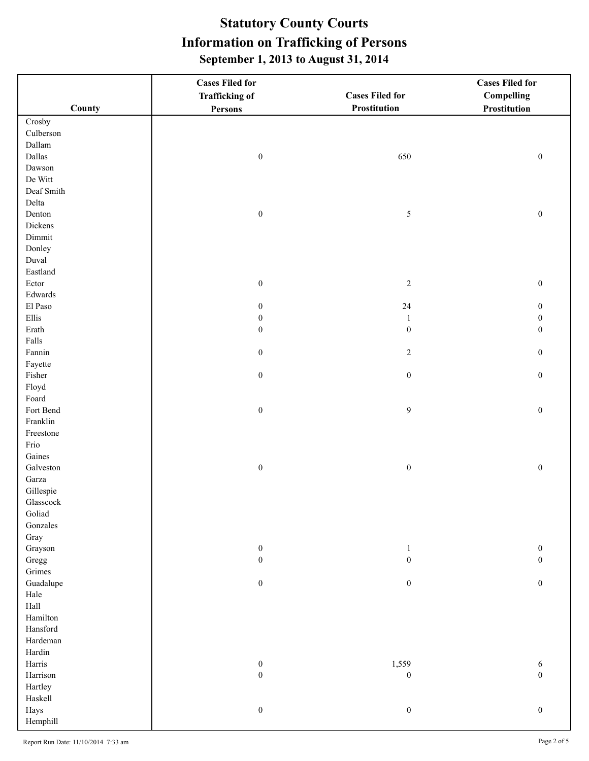|                   | <b>Cases Filed for</b>               |                                  | <b>Cases Filed for</b>               |
|-------------------|--------------------------------------|----------------------------------|--------------------------------------|
|                   | <b>Trafficking of</b>                | <b>Cases Filed for</b>           | Compelling                           |
| County            | Persons                              | Prostitution                     | Prostitution                         |
| Crosby            |                                      |                                  |                                      |
| Culberson         |                                      |                                  |                                      |
| Dallam            |                                      |                                  |                                      |
| Dallas            | $\boldsymbol{0}$                     | 650                              | $\boldsymbol{0}$                     |
| Dawson            |                                      |                                  |                                      |
| De Witt           |                                      |                                  |                                      |
| Deaf Smith        |                                      |                                  |                                      |
| Delta             |                                      |                                  |                                      |
| Denton            | $\boldsymbol{0}$                     | $\mathfrak s$                    | $\boldsymbol{0}$                     |
| Dickens           |                                      |                                  |                                      |
| Dimmit            |                                      |                                  |                                      |
| Donley            |                                      |                                  |                                      |
| Duval             |                                      |                                  |                                      |
| Eastland          |                                      |                                  |                                      |
| Ector             | $\boldsymbol{0}$                     | $\sqrt{2}$                       | $\boldsymbol{0}$                     |
| Edwards           |                                      |                                  |                                      |
| El Paso           | $\boldsymbol{0}$                     | $24\,$                           | $\boldsymbol{0}$                     |
| Ellis             | $\boldsymbol{0}$                     | $\mathbf{1}$                     | $\boldsymbol{0}$                     |
| Erath             | $\boldsymbol{0}$                     | $\boldsymbol{0}$                 | $\boldsymbol{0}$                     |
| Falls             |                                      |                                  |                                      |
| Fannin            | $\boldsymbol{0}$                     | $\overline{c}$                   | $\boldsymbol{0}$                     |
| Fayette           |                                      |                                  |                                      |
| Fisher            | $\boldsymbol{0}$                     | $\boldsymbol{0}$                 | $\boldsymbol{0}$                     |
| Floyd             |                                      |                                  |                                      |
| Foard             |                                      |                                  |                                      |
| Fort Bend         | $\boldsymbol{0}$                     | $\mathbf{9}$                     | $\boldsymbol{0}$                     |
| Franklin          |                                      |                                  |                                      |
| Freestone         |                                      |                                  |                                      |
| Frio              |                                      |                                  |                                      |
| Gaines            |                                      |                                  |                                      |
| Galveston         | $\boldsymbol{0}$                     | $\boldsymbol{0}$                 | $\boldsymbol{0}$                     |
| Garza             |                                      |                                  |                                      |
| Gillespie         |                                      |                                  |                                      |
| Glasscock         |                                      |                                  |                                      |
| Goliad            |                                      |                                  |                                      |
| Gonzales          |                                      |                                  |                                      |
| Gray              |                                      |                                  |                                      |
| Grayson           | $\boldsymbol{0}$<br>$\boldsymbol{0}$ | $\mathbf{1}$<br>$\boldsymbol{0}$ | $\boldsymbol{0}$<br>$\boldsymbol{0}$ |
| Gregg             |                                      |                                  |                                      |
| Grimes            | $\boldsymbol{0}$                     | $\boldsymbol{0}$                 | $\boldsymbol{0}$                     |
| Guadalupe<br>Hale |                                      |                                  |                                      |
| Hall              |                                      |                                  |                                      |
| Hamilton          |                                      |                                  |                                      |
| Hansford          |                                      |                                  |                                      |
| Hardeman          |                                      |                                  |                                      |
| Hardin            |                                      |                                  |                                      |
| Harris            | $\boldsymbol{0}$                     | 1,559                            | 6                                    |
| Harrison          | $\boldsymbol{0}$                     | $\boldsymbol{0}$                 | $\boldsymbol{0}$                     |
| Hartley           |                                      |                                  |                                      |
| Haskell           |                                      |                                  |                                      |
| Hays              | $\boldsymbol{0}$                     | $\boldsymbol{0}$                 | $\boldsymbol{0}$                     |
| Hemphill          |                                      |                                  |                                      |
|                   |                                      |                                  |                                      |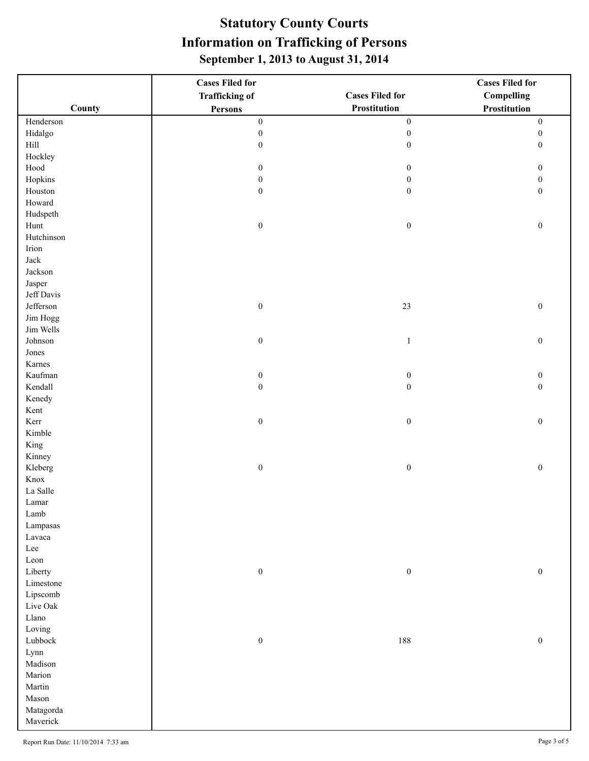|                                                                                                              | <b>Cases Filed for</b> |                        | <b>Cases Filed for</b> |
|--------------------------------------------------------------------------------------------------------------|------------------------|------------------------|------------------------|
|                                                                                                              | <b>Trafficking of</b>  | <b>Cases Filed for</b> | <b>Compelling</b>      |
| County                                                                                                       | Persons                | Prostitution           | Prostitution           |
| Henderson                                                                                                    | $\boldsymbol{0}$       | $\boldsymbol{0}$       | $\boldsymbol{0}$       |
| Hidalgo                                                                                                      | $\boldsymbol{0}$       | $\boldsymbol{0}$       | $\boldsymbol{0}$       |
| $\rm Hill$                                                                                                   | $\boldsymbol{0}$       | $\boldsymbol{0}$       | $\boldsymbol{0}$       |
| Hockley                                                                                                      |                        |                        |                        |
| $\operatorname*{Hood}% \nolimits_{\mathbb{C}}\left( \mathbb{C}^{\Sigma\left( 1\right) }\right) ^{\otimes n}$ | $\boldsymbol{0}$       | $\boldsymbol{0}$       | $\boldsymbol{0}$       |
| Hopkins                                                                                                      | $\boldsymbol{0}$       | $\boldsymbol{0}$       | $\boldsymbol{0}$       |
| Houston                                                                                                      | $\boldsymbol{0}$       | $\boldsymbol{0}$       | $\boldsymbol{0}$       |
| Howard                                                                                                       |                        |                        |                        |
| Hudspeth                                                                                                     |                        |                        |                        |
| Hunt                                                                                                         | $\boldsymbol{0}$       | $\boldsymbol{0}$       | $\boldsymbol{0}$       |
| Hutchinson                                                                                                   |                        |                        |                        |
| Irion                                                                                                        |                        |                        |                        |
| ${\rm Jack}$                                                                                                 |                        |                        |                        |
| Jackson                                                                                                      |                        |                        |                        |
| Jasper                                                                                                       |                        |                        |                        |
| Jeff Davis                                                                                                   |                        |                        |                        |
| Jefferson                                                                                                    | $\boldsymbol{0}$       | $23\,$                 | $\boldsymbol{0}$       |
| Jim Hogg                                                                                                     |                        |                        |                        |
| Jim Wells                                                                                                    |                        |                        |                        |
| Johnson                                                                                                      | $\boldsymbol{0}$       | $\mathbf{1}$           | $\boldsymbol{0}$       |
| Jones                                                                                                        |                        |                        |                        |
| Karnes                                                                                                       |                        |                        |                        |
| Kaufman                                                                                                      | $\boldsymbol{0}$       | $\boldsymbol{0}$       | $\boldsymbol{0}$       |
| Kendall                                                                                                      | $\boldsymbol{0}$       | $\boldsymbol{0}$       | $\boldsymbol{0}$       |
| Kenedy                                                                                                       |                        |                        |                        |
| Kent                                                                                                         |                        |                        |                        |
| Kerr                                                                                                         | $\boldsymbol{0}$       | $\boldsymbol{0}$       | $\boldsymbol{0}$       |
| Kimble                                                                                                       |                        |                        |                        |
| King                                                                                                         |                        |                        |                        |
| Kinney                                                                                                       |                        |                        |                        |
| Kleberg<br>Knox                                                                                              | $\boldsymbol{0}$       | $\boldsymbol{0}$       | $\boldsymbol{0}$       |
| La Salle                                                                                                     |                        |                        |                        |
| Lamar                                                                                                        |                        |                        |                        |
| ${\rm Lamb}$                                                                                                 |                        |                        |                        |
| Lampasas                                                                                                     |                        |                        |                        |
| Lavaca                                                                                                       |                        |                        |                        |
| $\operatorname{Lee}$                                                                                         |                        |                        |                        |
| Leon                                                                                                         |                        |                        |                        |
| Liberty                                                                                                      | $\boldsymbol{0}$       | $\boldsymbol{0}$       | $\boldsymbol{0}$       |
| Limestone                                                                                                    |                        |                        |                        |
| Lipscomb                                                                                                     |                        |                        |                        |
| Live Oak                                                                                                     |                        |                        |                        |
| Llano                                                                                                        |                        |                        |                        |
| Loving                                                                                                       |                        |                        |                        |
| Lubbock                                                                                                      | $\boldsymbol{0}$       | 188                    | $\boldsymbol{0}$       |
| Lynn                                                                                                         |                        |                        |                        |
| Madison                                                                                                      |                        |                        |                        |
| Marion                                                                                                       |                        |                        |                        |
| Martin                                                                                                       |                        |                        |                        |
| Mason                                                                                                        |                        |                        |                        |
| Matagorda                                                                                                    |                        |                        |                        |
| Maverick                                                                                                     |                        |                        |                        |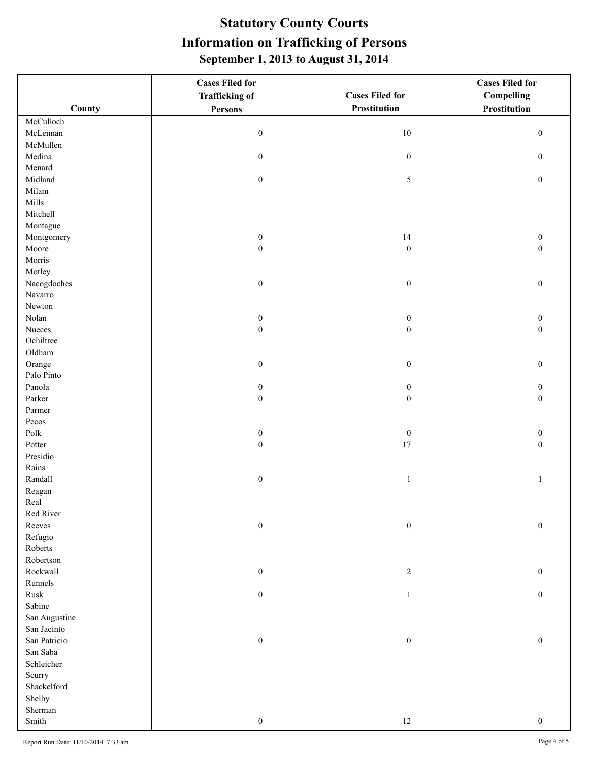|                             | <b>Cases Filed for</b> |                        | <b>Cases Filed for</b>               |
|-----------------------------|------------------------|------------------------|--------------------------------------|
|                             | <b>Trafficking of</b>  | <b>Cases Filed for</b> | <b>Compelling</b>                    |
| County                      | Persons                | Prostitution           | Prostitution                         |
| McCulloch                   |                        |                        |                                      |
| McLennan                    | $\boldsymbol{0}$       | $10\,$                 | $\boldsymbol{0}$                     |
| McMullen                    |                        |                        |                                      |
| Medina                      | $\boldsymbol{0}$       | $\boldsymbol{0}$       | $\boldsymbol{0}$                     |
| Menard                      |                        |                        |                                      |
| Midland                     | $\boldsymbol{0}$       | $\sqrt{5}$             | $\boldsymbol{0}$                     |
| Milam                       |                        |                        |                                      |
| Mills                       |                        |                        |                                      |
| Mitchell                    |                        |                        |                                      |
| Montague                    |                        |                        |                                      |
| Montgomery                  | $\boldsymbol{0}$       | 14                     | $\boldsymbol{0}$                     |
| Moore                       | $\boldsymbol{0}$       | $\boldsymbol{0}$       | $\boldsymbol{0}$                     |
| Morris                      |                        |                        |                                      |
| Motley                      |                        |                        |                                      |
| Nacogdoches                 | $\boldsymbol{0}$       | $\boldsymbol{0}$       | $\boldsymbol{0}$                     |
| Navarro                     |                        |                        |                                      |
| Newton                      |                        |                        |                                      |
| Nolan                       | $\boldsymbol{0}$       | $\boldsymbol{0}$       |                                      |
| Nueces                      | $\boldsymbol{0}$       | $\boldsymbol{0}$       | $\boldsymbol{0}$<br>$\boldsymbol{0}$ |
| Ochiltree                   |                        |                        |                                      |
|                             |                        |                        |                                      |
| Oldham                      |                        |                        |                                      |
| Orange                      | $\boldsymbol{0}$       | $\boldsymbol{0}$       | $\boldsymbol{0}$                     |
| Palo Pinto                  |                        |                        |                                      |
| Panola                      | $\boldsymbol{0}$       | $\boldsymbol{0}$       | $\boldsymbol{0}$                     |
| Parker                      | $\boldsymbol{0}$       | $\boldsymbol{0}$       | $\boldsymbol{0}$                     |
| Parmer                      |                        |                        |                                      |
| Pecos                       |                        |                        |                                      |
| $\operatorname{Polk}$       | $\boldsymbol{0}$       | $\boldsymbol{0}$       | $\boldsymbol{0}$                     |
| Potter                      | $\boldsymbol{0}$       | 17                     | $\boldsymbol{0}$                     |
| Presidio                    |                        |                        |                                      |
| Rains                       |                        |                        |                                      |
| Randall                     | $\boldsymbol{0}$       | $\mathbf{1}$           | $\mathbf{1}$                         |
| Reagan                      |                        |                        |                                      |
| Real                        |                        |                        |                                      |
| Red River                   |                        |                        |                                      |
| Reeves                      | $\boldsymbol{0}$       | $\boldsymbol{0}$       | $\boldsymbol{0}$                     |
| Refugio                     |                        |                        |                                      |
| Roberts                     |                        |                        |                                      |
| Robertson                   |                        |                        |                                      |
| Rockwall                    | $\boldsymbol{0}$       | $\sqrt{2}$             | $\boldsymbol{0}$                     |
| Runnels                     |                        |                        |                                      |
| ${\rm Rusk}$                | $\boldsymbol{0}$       | $\mathbf{1}$           | $\boldsymbol{0}$                     |
| Sabine                      |                        |                        |                                      |
| San Augustine               |                        |                        |                                      |
| San Jacinto                 |                        |                        |                                      |
| San Patricio                | $\boldsymbol{0}$       | $\boldsymbol{0}$       | $\boldsymbol{0}$                     |
| San Saba                    |                        |                        |                                      |
| Schleicher                  |                        |                        |                                      |
| Scurry                      |                        |                        |                                      |
| Shackelford                 |                        |                        |                                      |
| Shelby                      |                        |                        |                                      |
| Sherman                     |                        |                        |                                      |
| $\mathop{\hbox{\rm Smith}}$ | $\boldsymbol{0}$       | $12$                   | $\boldsymbol{0}$                     |
|                             |                        |                        |                                      |